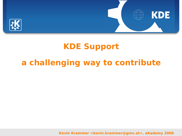



## **KDE Support**

## **a challenging way to contribute**

**Kevin Krammer <kevin.krammer@gmx.at>, aKademy 2006**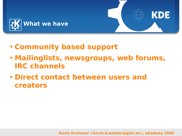



- **Mailinglists, newsgroups, web forums, IRC channels**
- **Direct contact between users and creators**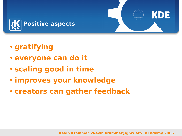

- **gratifying**
- **everyone can do it**
- **scaling good in time**
- **improves your knowledge**
- **creators can gather feedback**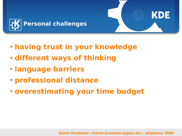

- **having trust in your knowledge**
- **different ways of thinking**
- **language barriers**
- **professional distance**
- **overestimating your time budget**

**Kevin Krammer <kevin.krammer@gmx.at>, aKademy 2006**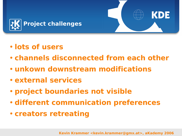

- **lots of users**
- **channels disconnected from each other**
- **unkown downstream modifications**
- **external services**
- **project boundaries not visible**
- **different communication preferences**
- **creators retreating**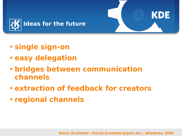

- **single sign-on**
- **easy delegation**
- **bridges between communication channels**
- **extraction of feedback for creators**
- **regional channels**